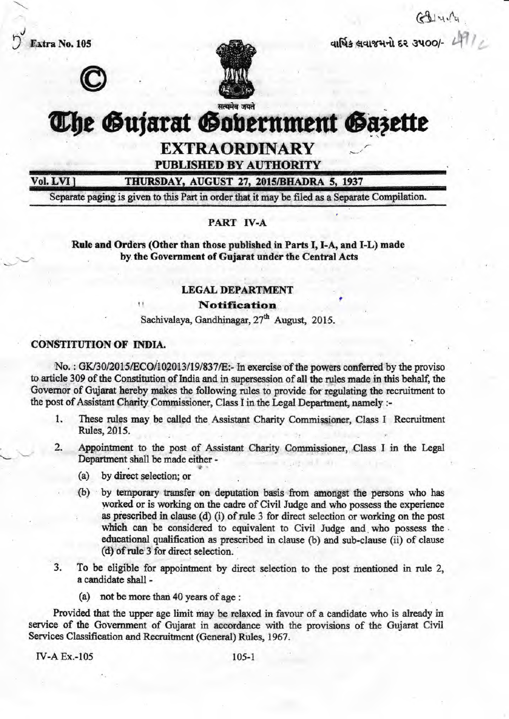Extra No. 105 J tl q1N\$,q["&?rq{ 6? gr{oo/- ,i <sup>j</sup> '





# The Gujarat Gobernment Gazette

**EXTRAORDINARY**<br>PUBLISHED BY AUTHORITY

Vol. LVI 1

THURSDAY, AUGUST 27, 2015/BHADRA 5, 1937

Separate paging is given to this Part in order that it may be filed as a Separate Compilation.

#### PART **IV-A**

Rule and Orders (Other than those published in Parts I, I-A, and I-L) made by the Government of Gujarat under the Central Acts

#### LEGAL DEPARTMENT

**Notification** 

Sachivalaya, Gandhinagar, 27<sup>th</sup> August, 2015.

#### CONSTITUTION OF INDIA.

No.: GK/30/2015/ECO/102013/19/837/E:- In exercise of the powers conferred by the proviso to article 309 of the Constitution of India and in supersession of all the rules made in this behalf, the Governor of Gujarat hereby makes the following rules to provide for regulating the recruitnent to the post of Assistant Charity Commissioner, Class I in the Legal Department, namely :-

- 1. These rules may be called the Assistant Charity Commissioner, Class I Recruitment Rules,2015.
- 2. Appointment to the post of Assistant Charity Commissioner, Class I in the Legal Departnent shall be made either -
	- (a) by direct selection; or
	- (b) by temporary transfer on deputation basis from amongst the persons who has worked or is working on the cadre of Civil Judge and who possess the experience as prescribed in clause (d) (i) of rule 3 for direct selection or working on the post which can be considered to equivalent to Civil Judge and who possess the educational qualification as prescribed in clause (b) and sub-clause (ii) of clause (d) ofrule 3 for direct selection.
- 3. To be eligible for appointment by direct selection to the post mentioned in rule 2, a candidate shall -
	- (a) not be more than 40 years of age :

Provided that the upper age limit may be relaxed in favour of a candidate who is already in service of the Government of Gujarat in accordance with the provisions of the Gujarat Civil Services Classification and Recruitnent (General) Rules, 1967.

**rv-A Ex.-105** 105-1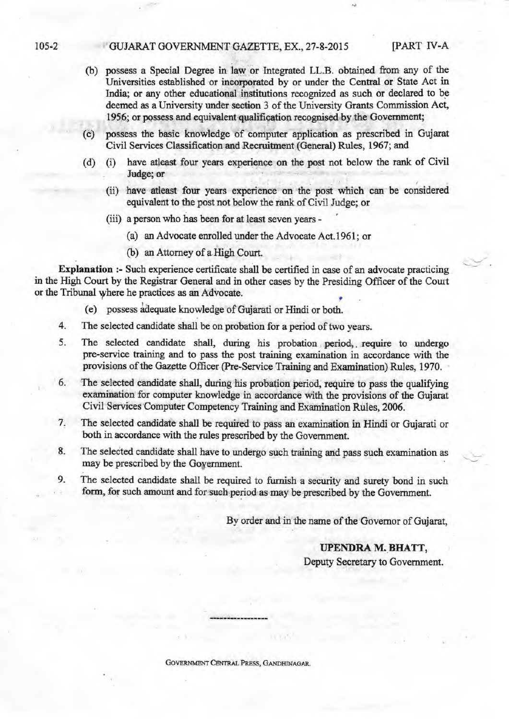#### 105-2 GUJARAT GOVERNMENT GAZETTE, EX., 27-8-2015 [PART IV-A

- (b) possess a Special Degree in law or Integrated LL.B. obtained from any of the Universities established or incorporated by or under the Central or State Act in India; or any other educational institutions recognized as such or declared to be deemed as a University under section 3 of the University Grants Commission Act, 1956; or possess and equivalent qualification recognised by the Government;
- (c) possess the basic knowledge of computer application as prescribed in Gujarat Civil Services Classification and Recruitment (General) Rules, 1967; and
- (d) (i) have atleast four years experience on the post not below the rank of Civil Judge; or
	- (ii) have atleast four years experience on the post which can be considered equivalent to the post not below the rank of Civil Judge; or
	- (iii) a person who has been for at least seven years
		- (a) an Advocate enrolled under the Advocate Act.1961; or
		- (b) an Attorney of a High Court.

Explanation :- Such experience certificate shall be certified in case of an advocate practicing in the High Court by the Registrar General and in other cases by the Presiding Officer of the Court or the Tribunal where he practices as an Advocate.

- (e) possess idequate knowledge of Gujarati or Hindi or both.
- The selected candidate shall be on probation for a period of two years. 4.
- The selected candidate shall, during his probation period, require to undergo pre-service training and to pass the post training examination in accordance with the provisions of the Gazette Officer (Pre-Service Training and Examination) Rules, 1970. 5.
- The selected eandidate shall, during his probation period, require to pass the qualifying examination for computer knowledge in accordance with the provisions of the Gujarat Civil Services Computer Competency Training and Examination Rules, 2006. 6.
- The selected candidate shall be required to pass an examination in Hindi or Gujarati or both in accordance with the rules prescribed by the Government. 7.
- The selected candidate shall have to undergo such training and pass such examination as may be prescribed by the Goyernment. 8.
- The selected candidate shall be required to furnish a security and surety bond in such form, for such amount and for such period as may be prescribed by the Government. 9.

By order and in the name of the Governor of Gujarat,

#### IJPENDRA M. BHATT,

Deputy Secretary to Government.

GOVERNMENT CENTRAL PRESS, GANDHINAGAR.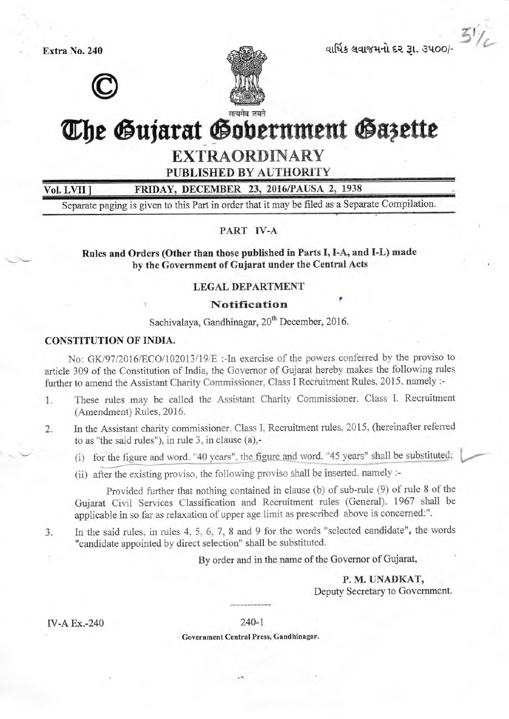Extra No. 240

Vol. LVII



વાર્ષિક લવાજમનો દર 31. 3400/

# The Gujarat Gobernment Gazette

## **EXTRAORDINARY**

**PUBLISHED BY AUTHORITY** 

FRIDAY, DECEMBER 23, 2016/PAUSA 2, 1938

Separate paging is given to this Part in order that it may be filed as a Separate Compilation.

#### PART IV-A

Rules and Orders (Other than those published in Parts I, I-A, and I-L) made by the Government of Gujarat under the Central Acts

#### **LEGAL DEPARTMENT**

#### **Notification**

Sachivalaya, Gandhinagar, 20<sup>th</sup> December, 2016.

#### **CONSTITUTION OF INDIA.**

No: GK/97/2016/ECO/102013/19/E :- In exercise of the powers conferred by the proviso to article 309 of the Constitution of India, the Governor of Gujarat hereby makes the following rules further to amend the Assistant Charity Commissioner, Class I Recruitment Rules. 2015, namely :-

- These rules may be called the Assistant Charity Commissioner, Class I. Recruitment  $1.$ (Amendment) Rules, 2016.
- In the Assistant charity commissioner, Class I, Recruitment rules, 2015, (hereinafter referred  $\overline{2}$ . to as "the said rules"), in rule 3, in clause (a),-

(i) for the figure and word. "40 years", the figure and word. "45 years" shall be substituted;

(ii) after the existing proviso, the following proviso shall be inserted, namely :-

Provided further that nothing contained in clause (b) of sub-rule (9) of rule 8 of the Gujarat Civil Services Classification and Recruitment rules (General). 1967 shall be applicable in so far as relaxation of upper age limit as prescribed above is concerned:".

In the said rules, in rules 4, 5, 6, 7, 8 and 9 for the words "selected candidate", the words 3. "candidate appointed by direct selection" shall be substituted.

By order and in the name of the Governor of Gujarat,

P. M. UNADKAT, Deputy Secretary to Government.

**IV-A Ex.-240** 

 $240 - 1$ 

· Government Central Press, Gandhinagar.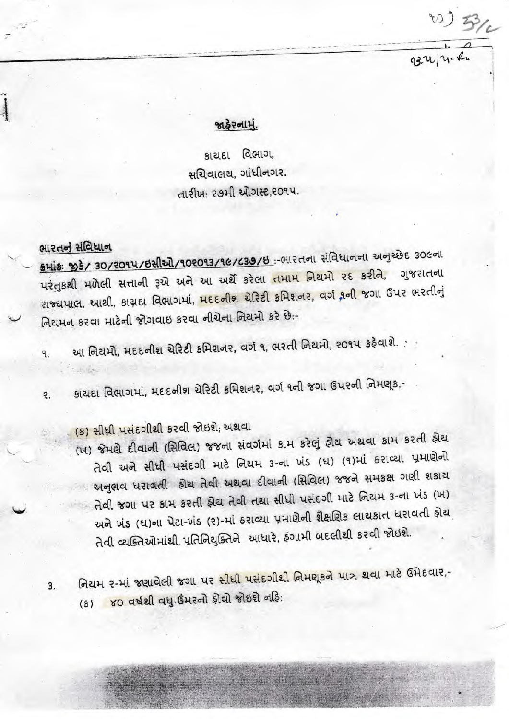## જાહેરનામું.

 $10)3/2$ 

 $92414.8$ 

કાયદા વિભાગ, સચિવાલય. ગાંધીનગર. તારીખ: ૨૭મી ઓગસ્ટ.૨૦૧૫.

# ભારતનું સંવિધાન

5 His: 33/ 30/2014/62 21/102013/16/639/8: - HRddl Halloddl 20386 30601 પરંતુકથી મળેલી સત્તાની રૂએ અને આ અર્થે કરેલા તમામ નિયમો રદ કરીને, ગુજરાતના રાજ્યપાલ, આથી, કાચદા વિભાગમાં, **મદદનીશ ચેરિટી કમિશનર, વર્ગ ૧ની જ**ગા ઉપર ભરતીનું નિયમન કરવા માટેની જોગવાઇ કરવા નીચેના નિયમો કરે છે:-

આ નિયમો, મદદનીશ ચેરિટી કમિશનર, વર્ગ ૧, ભરતી નિયમો, ૨૦૧૫ કરેવાશે.  $\mathbf{q}$ 

કાયદા વિભાગમાં, મદદનીશ ચેરિટી કમિશનર, વર્ગ ૧ની જગા ઉપરની નિમણૂક,- $\overline{e}$ .

(5) સીધી પસંદગીથી કરવી જોઇશે; અથવા

(ખ) જેમણે દીવાની (સિવિલ) જજના સંવર્ગમાં કામ કરેલું ફોચ અથવા કામ કરતી ફોચ તેવી અને સીધી પસંદગી માટે નિયમ 3-ના ખંડ (ઘ) (૧)માં ઠરાવ્યા પ્રમાણેનો અનુભવ ધરાવતી હોય તેવી અથવા દીવાની (સિવિલ) જજને સમકક્ષ ગણી શકાય તેવી જગા પર કામ કરતી ફોચ તેવી તથા સીધી પસંદગી માટે નિયમ 3-ના ખંડ (ખ) અને ખંડ (ઘ)ના પેટા-ખંડ (૨)-માં ઠરાવ્યા પ્રમાણેની શૈક્ષણિક લાયકાત ધરાવતી હોય તેવી વ્યક્તિઓમાંથી, પ્રતિનિયુક્તિને આધારે, ફંગામી બદલીથી કરવી જોઇશે.

નિયમ ૨-માં જણાવેલી જગા પર સીધી પસંદગીથી નિમણૂકને પાત્ર થવા માટે ઉમેદવાર,- $3.$ (s) 80 વર્ષથી વધુ ઉંમરનો ફોવો જોઇશે નહિ:

Alast Alberta Arthur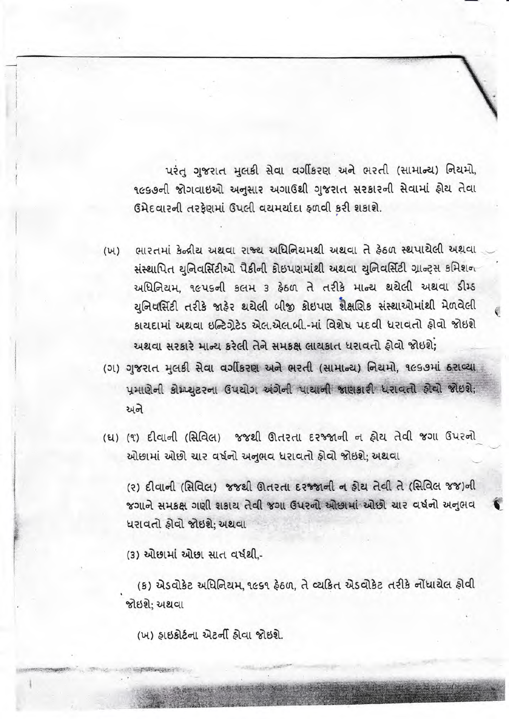પરંત ગુજરાત મલકી સેવા વર્ગીકરણ અને ભરતી (સામાન્ય) નિયમો, ૧૯૬૭ની જોગવાઇઓ અનુસાર અગાઉથી ગુજરાત સરકારની સેવામાં ફોચ તેવા ઉમેદવારની તરફેણમાં ઉપલી વયમર્યાદા ફળવી કરી શકાશે.

ભારતમાં કેન્દ્રીય અથવા રાજ્ય અધિનિયમથી અથવા તે કેઠળ સ્થપાયેલી અથવા  $(W)$ संस्थापित युनिवर्सिटीઓ पैडीनी डोछपણમांथी अथवा युनिवर्सिटी ग्रान्ट्स કમિશન અધિનિયમ, ૧૯૫૬ની કલમ 3 કેઠળ તે તરીકે માન્ય થયેલી અથવા ડીમ્ડ યુનિવર્સિટી તરીકે જાહેર થયેલી બીજી કોઇપણ શૈક્ષણિક સંસ્થાઓમાંથી મેળવેલી કાચદામાં અથવા ઇન્ટિગેટેડ એલ.એલ.બી.-માં વિશેષ પદવી ધરાવતો ઠોવો જોઇશે

અથવા સરકારે માન્ય કરેલી તેને સમકક્ષ લાયકાત ધરાવતો કોવો જોઇશે: (ગ) ગુજરાત મલકી સેવા વર્ગીકરણ અને ભરતી (સામાન્ય) નિયમો, ૧૯૬૭માં ઠરાવ્યા પ્રમાણેની કોમ્પ્યુટરના ઉપયોગ અંગેની પાયાની જાણકારી ધરાવતો કોવો જોઇશે;  $6\nu$ s

(ધ) (૧) દીવાની (સિવિલ) જજથી ઊતરતા દરજ્જાની ન હોય તેવી જગા ઉપરનો ઓછામાં ઓછો ચાર વર્ષનો અનુભવ ધરાવતો ફોવો જોઇશે; અથવા

(२) दीवानी (सिविल) ४४थी शतरता दर कानी न होय तेवी ते (सिविल ४४)नी જગાને સમકક્ષ ગણી શકાય તેવી જગા ઉપરનો ઓછામાં ઓછો ચાર વર્ષનો અનુભવ ધરાવતો ઠોવો જોઇશે: અથવા

(3) ઓછામાં ઓછા સાત વર્ષથી.-

(ક) એડવોકેટ અધિનિયમ, ૧૯૬૧ ફેઠળ, તે વ્યકિત એડવોકેટ તરીકે નોંધાયેલ ફોવી જોઇશે: અથવા

(ખ) ઠાઇકોર્ટના એટર્ની ઠોવા જોઇશે.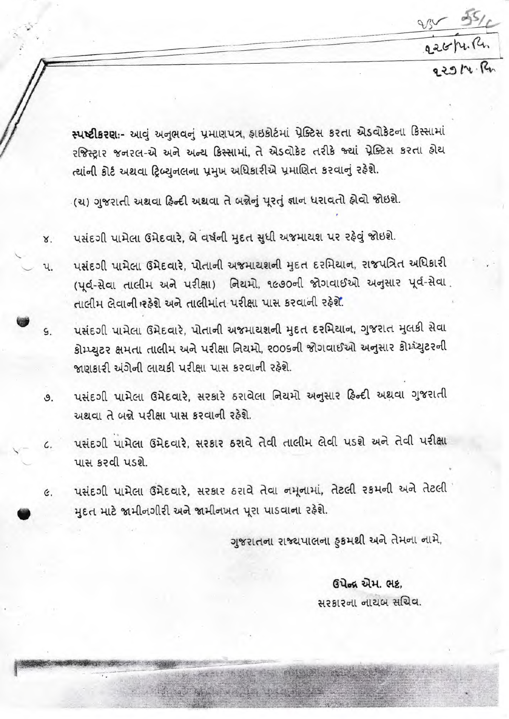226/4. Ru.<br>229/4. Ru

स्पष्टी प्रथाः- आवुं अनुसवनुं प्रमाणपत्र, इछि हेमां प्रेक्टिस प्रश्ता से बोडेटना डिस्सामां રજિસ્ટ્રાર જનરલ-એ અને અન્ય કિસ્સામાં, તે એડવોકેટ તરીકે જ્યાં પ્રેક્ટિસ કરતા ફોય ત્યાંની કોર્ટ અથવા ટ્રિબ્યુનલના પ્રમુખ અધિકારીએ પ્રમાણિત કરવાનું રહેશે.

(ચ) ગુજરાતી અથવા હિન્દી અથવા તે બન્નેનું પૂરતું જ્ઞાન ધરાવતો હોવો જોઇશે.

- પસંદગી પામેલા ઉમેદવારે, બે વર્ષની મદત સુધી અજમાચશ પર રફેવું જોઇશે. Χ.
- પસંદગી પામેલા ઉમેદવારે, પોતાની અજમાયશની મુદત દરમિયાન, રાજપત્રિત અધિકારી પ. (પૂર્વ-સેવા તાલીમ અને પરીક્ષા) નિયમો, ૧૯૭૦ની જોગવાઈઓ અનુસાર પૂર્વ-સેવા તાલીમ લેવાની રહેશે અને તાલીમાંત પરીક્ષા પાસ કરવાની રહેશે.
- પસંદગી પામેલા ઉમેદવારે, પોતાની અજમાચશની મુદત દરમિયાન, ગુજરાત મુલકી સેવા ġ. કોમ્પ્યુટર ક્ષમતા તાલીમ અને પરીક્ષા નિયમો, ૨૦૦૬ની જોગવાઈઓ અનુસાર કોમ્પ્યુટરની જાણકારી અંગેની લાયકી પરીક્ષા પાસ કરવાની રહેશે.
- પસંદગી પામેલા ઉમેદવારે, સરકારે ઠરાવેલા નિયમો અનુસાર હિન્દી અથવા ગુજરાતી  $\mathcal{S}$ . અથવા તે બન્ને પરીક્ષા પાસ કરવાની રહેશે.
- પસંદગી પામેલા ઉમેદવારે, સરકાર ઠરાવે તેવી તાલીમ લેવી પડશે અને તેવી પરીક્ષા  $\mathcal{L}$ પાસ કરવી પડશે.
- पसंदगी पामेला ઉमेदवारे, सरकार हरावे तेवा नमूनामां, तेटली रक्ष्मनी अने तेटली  $\epsilon$ . મદત માટે જામીનગીરી અને જામીનખત પુરા પાડવાના રહેશે.

ગુજરાતના રાજ્યપાલના ફકમશી અને તેમના નામે,

a strike Black

## ઉપેન્દ્ર એમ. ભદ્ર.

### સરકારના નાયબ સચિવ.